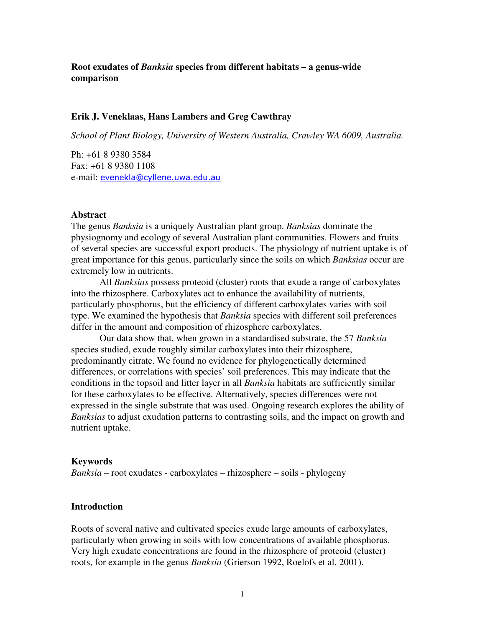### **Root exudates of** *Banksia* **species from different habitats – a genus-wide comparison**

### **Erik J. Veneklaas, Hans Lambers and Greg Cawthray**

*School of Plant Biology, University of Western Australia, Crawley WA 6009, Australia.*

Ph: +61 8 9380 3584 Fax: +61 8 9380 1108 e-mail: <u>evenekla@cyllene.uwa.edu.au</u>

#### **Abstract**

The genus *Banksia* is a uniquely Australian plant group. *Banksias* dominate the physiognomy and ecology of several Australian plant communities. Flowers and fruits of several species are successful export products. The physiology of nutrient uptake is of great importance for this genus, particularly since the soils on which *Banksias* occur are extremely low in nutrients.

All *Banksias* possess proteoid (cluster) roots that exude a range of carboxylates into the rhizosphere. Carboxylates act to enhance the availability of nutrients, particularly phosphorus, but the efficiency of different carboxylates varies with soil type. We examined the hypothesis that *Banksia* species with different soil preferences differ in the amount and composition of rhizosphere carboxylates.

Our data show that, when grown in a standardised substrate, the 57 *Banksia* species studied, exude roughly similar carboxylates into their rhizosphere, predominantly citrate. We found no evidence for phylogenetically determined differences, or correlations with species' soil preferences. This may indicate that the conditions in the topsoil and litter layer in all *Banksia* habitats are sufficiently similar for these carboxylates to be effective. Alternatively, species differences were not expressed in the single substrate that was used. Ongoing research explores the ability of *Banksias* to adjust exudation patterns to contrasting soils, and the impact on growth and nutrient uptake.

#### **Keywords**

*Banksia* – root exudates - carboxylates – rhizosphere – soils - phylogeny

#### **Introduction**

Roots of several native and cultivated species exude large amounts of carboxylates, particularly when growing in soils with low concentrations of available phosphorus. Very high exudate concentrations are found in the rhizosphere of proteoid (cluster) roots, for example in the genus *Banksia* (Grierson 1992, Roelofs et al. 2001).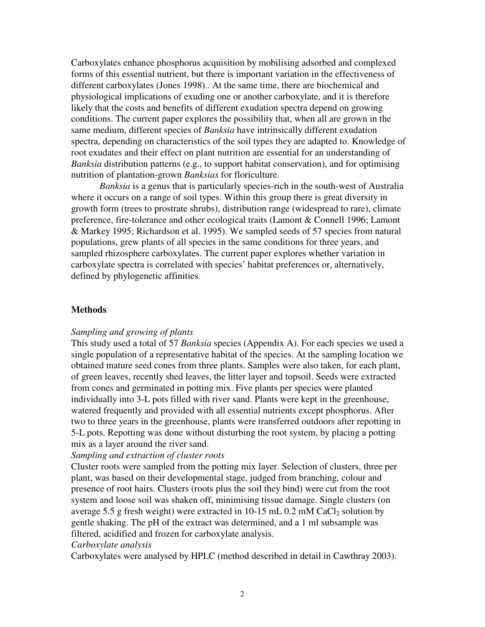Carboxylates enhance phosphorus acquisition by mobilising adsorbed and complexed forms of this essential nutrient, but there is important variation in the effectiveness of different carboxylates (Jones 1998).. At the same time, there are biochemical and physiological implications of exuding one or another carboxylate, and it is therefore likely that the costs and benefits of different exudation spectra depend on growing conditions. The current paper explores the possibility that, when all are grown in the same medium, different species of *Banksia* have intrinsically different exudation spectra, depending on characteristics of the soil types they are adapted to. Knowledge of root exudates and their effect on plant nutrition are essential for an understanding of *Banksia* distribution patterns (e.g., to support habitat conservation), and for optimising nutrition of plantation-grown *Banksias* for floriculture.

*Banksia* is a genus that is particularly species-rich in the south-west of Australia where it occurs on a range of soil types. Within this group there is great diversity in growth form (trees to prostrate shrubs), distribution range (widespread to rare), climate preference, fire-tolerance and other ecological traits (Lamont & Connell 1996; Lamont & Markey 1995; Richardson et al. 1995). We sampled seeds of 57 species from natural populations, grew plants of all species in the same conditions for three years, and sampled rhizosphere carboxylates. The current paper explores whether variation in carboxylate spectra is correlated with species' habitat preferences or, alternatively, defined by phylogenetic affinities.

### **Methods**

#### *Sampling and growing of plants*

This study used a total of 57 *Banksia* species (Appendix A). For each species we used a single population of a representative habitat of the species. At the sampling location we obtained mature seed cones from three plants. Samples were also taken, for each plant, of green leaves, recently shed leaves, the litter layer and topsoil. Seeds were extracted from cones and germinated in potting mix. Five plants per species were planted individually into 3-L pots filled with river sand. Plants were kept in the greenhouse, watered frequently and provided with all essential nutrients except phosphorus. After two to three years in the greenhouse, plants were transferred outdoors after repotting in 5-L pots. Repotting was done without disturbing the root system, by placing a potting mix as a layer around the river sand.

### *Sampling and extraction of cluster roots*

Cluster roots were sampled from the potting mix layer. Selection of clusters, three per plant, was based on their developmental stage, judged from branching, colour and presence of root hairs. Clusters (roots plus the soil they bind) were cut from the root system and loose soil was shaken off, minimising tissue damage. Single clusters (on average 5.5 g fresh weight) were extracted in  $10-15$  mL 0.2 mM CaCl<sub>2</sub> solution by gentle shaking. The pH of the extract was determined, and a 1 ml subsample was filtered, acidified and frozen for carboxylate analysis.

#### *Carboxylate analysis*

Carboxylates were analysed by HPLC (method described in detail in Cawthray 2003).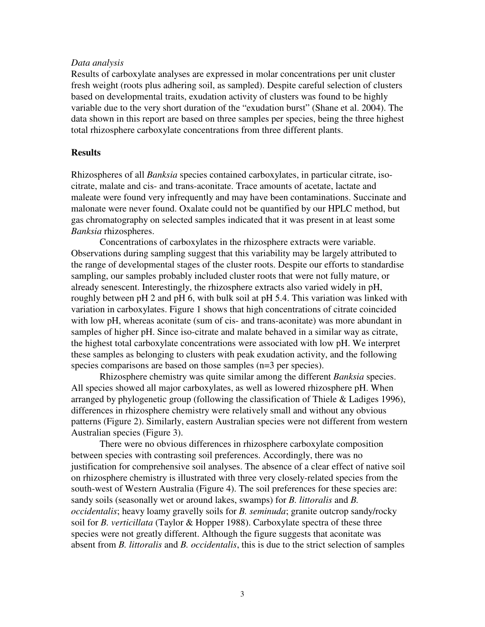### *Data analysis*

Results of carboxylate analyses are expressed in molar concentrations per unit cluster fresh weight (roots plus adhering soil, as sampled). Despite careful selection of clusters based on developmental traits, exudation activity of clusters was found to be highly variable due to the very short duration of the "exudation burst" (Shane et al. 2004). The data shown in this report are based on three samples per species, being the three highest total rhizosphere carboxylate concentrations from three different plants.

### **Results**

Rhizospheres of all *Banksia* species contained carboxylates, in particular citrate, isocitrate, malate and cis- and trans-aconitate. Trace amounts of acetate, lactate and maleate were found very infrequently and may have been contaminations. Succinate and malonate were never found. Oxalate could not be quantified by our HPLC method, but gas chromatography on selected samples indicated that it was present in at least some *Banksia* rhizospheres.

Concentrations of carboxylates in the rhizosphere extracts were variable. Observations during sampling suggest that this variability may be largely attributed to the range of developmental stages of the cluster roots. Despite our efforts to standardise sampling, our samples probably included cluster roots that were not fully mature, or already senescent. Interestingly, the rhizosphere extracts also varied widely in pH, roughly between pH 2 and pH 6, with bulk soil at pH 5.4. This variation was linked with variation in carboxylates. Figure 1 shows that high concentrations of citrate coincided with low pH, whereas aconitate (sum of cis- and trans-aconitate) was more abundant in samples of higher pH. Since iso-citrate and malate behaved in a similar way as citrate, the highest total carboxylate concentrations were associated with low pH. We interpret these samples as belonging to clusters with peak exudation activity, and the following species comparisons are based on those samples (n=3 per species).

Rhizosphere chemistry was quite similar among the different *Banksia* species. All species showed all major carboxylates, as well as lowered rhizosphere pH. When arranged by phylogenetic group (following the classification of Thiele & Ladiges 1996), differences in rhizosphere chemistry were relatively small and without any obvious patterns (Figure 2). Similarly, eastern Australian species were not different from western Australian species (Figure 3).

There were no obvious differences in rhizosphere carboxylate composition between species with contrasting soil preferences. Accordingly, there was no justification for comprehensive soil analyses. The absence of a clear effect of native soil on rhizosphere chemistry is illustrated with three very closely-related species from the south-west of Western Australia (Figure 4). The soil preferences for these species are: sandy soils (seasonally wet or around lakes, swamps) for *B. littoralis* and *B. occidentalis*; heavy loamy gravelly soils for *B. seminuda*; granite outcrop sandy/rocky soil for *B. verticillata* (Taylor & Hopper 1988). Carboxylate spectra of these three species were not greatly different. Although the figure suggests that aconitate was absent from *B. littoralis* and *B. occidentalis*, this is due to the strict selection of samples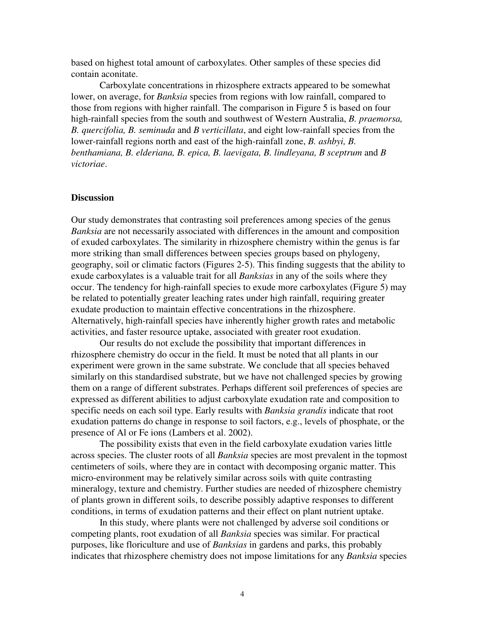based on highest total amount of carboxylates. Other samples of these species did contain aconitate.

Carboxylate concentrations in rhizosphere extracts appeared to be somewhat lower, on average, for *Banksia* species from regions with low rainfall, compared to those from regions with higher rainfall. The comparison in Figure 5 is based on four high-rainfall species from the south and southwest of Western Australia, *B. praemorsa, B. quercifolia, B. seminuda* and *B verticillata*, and eight low-rainfall species from the lower-rainfall regions north and east of the high-rainfall zone, *B. ashbyi, B. benthamiana, B. elderiana, B. epica, B. laevigata, B. lindleyana, B sceptrum* and *B victoriae*.

### **Discussion**

Our study demonstrates that contrasting soil preferences among species of the genus *Banksia* are not necessarily associated with differences in the amount and composition of exuded carboxylates. The similarity in rhizosphere chemistry within the genus is far more striking than small differences between species groups based on phylogeny, geography, soil or climatic factors (Figures 2-5). This finding suggests that the ability to exude carboxylates is a valuable trait for all *Banksias* in any of the soils where they occur. The tendency for high-rainfall species to exude more carboxylates (Figure 5) may be related to potentially greater leaching rates under high rainfall, requiring greater exudate production to maintain effective concentrations in the rhizosphere. Alternatively, high-rainfall species have inherently higher growth rates and metabolic activities, and faster resource uptake, associated with greater root exudation.

Our results do not exclude the possibility that important differences in rhizosphere chemistry do occur in the field. It must be noted that all plants in our experiment were grown in the same substrate. We conclude that all species behaved similarly on this standardised substrate, but we have not challenged species by growing them on a range of different substrates. Perhaps different soil preferences of species are expressed as different abilities to adjust carboxylate exudation rate and composition to specific needs on each soil type. Early results with *Banksia grandis* indicate that root exudation patterns do change in response to soil factors, e.g., levels of phosphate, or the presence of Al or Fe ions (Lambers et al. 2002).

The possibility exists that even in the field carboxylate exudation varies little across species. The cluster roots of all *Banksia* species are most prevalent in the topmost centimeters of soils, where they are in contact with decomposing organic matter. This micro-environment may be relatively similar across soils with quite contrasting mineralogy, texture and chemistry. Further studies are needed of rhizosphere chemistry of plants grown in different soils, to describe possibly adaptive responses to different conditions, in terms of exudation patterns and their effect on plant nutrient uptake.

In this study, where plants were not challenged by adverse soil conditions or competing plants, root exudation of all *Banksia* species was similar. For practical purposes, like floriculture and use of *Banksias* in gardens and parks, this probably indicates that rhizosphere chemistry does not impose limitations for any *Banksia* species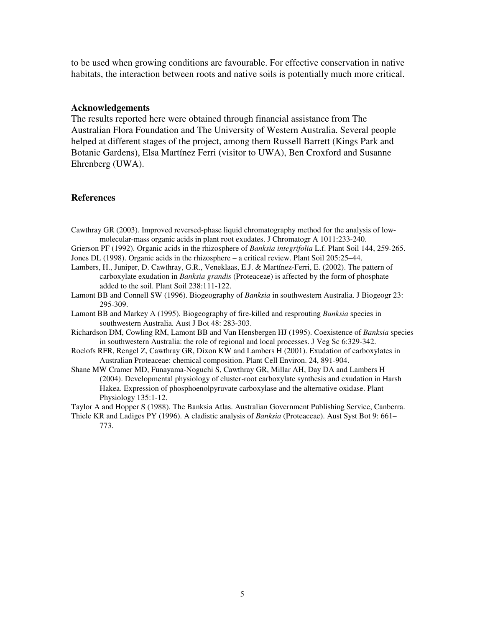to be used when growing conditions are favourable. For effective conservation in native habitats, the interaction between roots and native soils is potentially much more critical.

#### **Acknowledgements**

The results reported here were obtained through financial assistance from The Australian Flora Foundation and The University of Western Australia. Several people helped at different stages of the project, among them Russell Barrett (Kings Park and Botanic Gardens), Elsa Martínez Ferri (visitor to UWA), Ben Croxford and Susanne Ehrenberg (UWA).

### **References**

Cawthray GR (2003). Improved reversed-phase liquid chromatography method for the analysis of lowmolecular-mass organic acids in plant root exudates. J Chromatogr A 1011:233-240.

Grierson PF (1992). Organic acids in the rhizosphere of *Banksia integrifolia* L.f. Plant Soil 144, 259-265. Jones DL (1998). Organic acids in the rhizosphere – a critical review. Plant Soil 205:25–44.

- Lambers, H., Juniper, D. Cawthray, G.R., Veneklaas, E.J. & Martínez-Ferri, E. (2002). The pattern of carboxylate exudation in *Banksia grandis* (Proteaceae) is affected by the form of phosphate added to the soil. Plant Soil 238:111-122.
- Lamont BB and Connell SW (1996). Biogeography of *Banksia* in southwestern Australia. J Biogeogr 23: 295-309.
- Lamont BB and Markey A (1995). Biogeography of fire-killed and resprouting *Banksia* species in southwestern Australia. Aust J Bot 48: 283-303.
- Richardson DM, Cowling RM, Lamont BB and Van Hensbergen HJ (1995). Coexistence of *Banksia* species in southwestern Australia: the role of regional and local processes. J Veg Sc 6:329-342.
- Roelofs RFR, Rengel Z, Cawthray GR, Dixon KW and Lambers H (2001). Exudation of carboxylates in Australian Proteaceae: chemical composition. Plant Cell Environ. 24, 891-904.
- Shane MW Cramer MD, Funayama-Noguchi S, Cawthray GR, Millar AH, Day DA and Lambers H (2004). Developmental physiology of cluster-root carboxylate synthesis and exudation in Harsh Hakea. Expression of phosphoenolpyruvate carboxylase and the alternative oxidase. Plant Physiology 135:1-12.

Taylor A and Hopper S (1988). The Banksia Atlas. Australian Government Publishing Service, Canberra.

Thiele KR and Ladiges PY (1996). A cladistic analysis of *Banksia* (Proteaceae). Aust Syst Bot 9: 661– 773.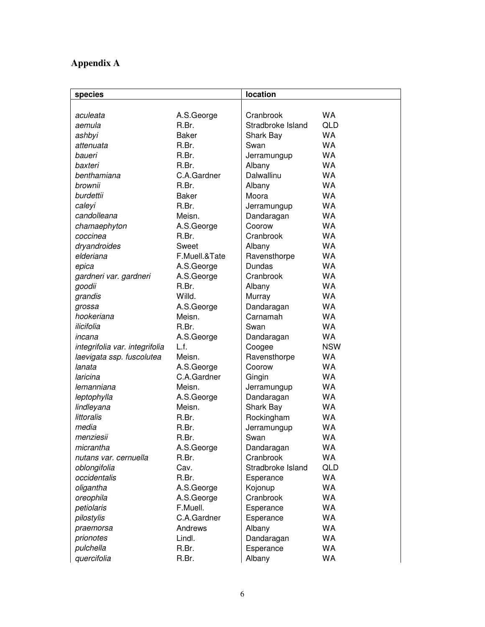# **Appendix A**

| species                        |               | location          |            |
|--------------------------------|---------------|-------------------|------------|
|                                |               |                   |            |
| aculeata                       | A.S.George    | Cranbrook         | <b>WA</b>  |
| aemula                         | R.Br.         | Stradbroke Island | <b>QLD</b> |
| ashbyi                         | <b>Baker</b>  | Shark Bay         | <b>WA</b>  |
| attenuata                      | R.Br.         | Swan              | <b>WA</b>  |
| baueri                         | R.Br.         | Jerramungup       | <b>WA</b>  |
| baxteri                        | R.Br.         | Albany            | <b>WA</b>  |
| benthamiana                    | C.A.Gardner   | Dalwallinu        | <b>WA</b>  |
| brownii                        | R.Br.         | Albany            | <b>WA</b>  |
| burdettii                      | <b>Baker</b>  | Moora             | <b>WA</b>  |
| caleyi                         | R.Br.         | Jerramungup       | <b>WA</b>  |
| candolleana                    | Meisn.        | Dandaragan        | <b>WA</b>  |
| chamaephyton                   | A.S.George    | Coorow            | <b>WA</b>  |
| coccinea                       | R.Br.         | Cranbrook         | <b>WA</b>  |
| dryandroides                   | Sweet         | Albany            | <b>WA</b>  |
| elderiana                      | F.Muell.&Tate | Ravensthorpe      | <b>WA</b>  |
| epica                          | A.S.George    | Dundas            | <b>WA</b>  |
| gardneri var. gardneri         | A.S.George    | Cranbrook         | <b>WA</b>  |
| goodii                         | R.Br.         | Albany            | <b>WA</b>  |
| grandis                        | Willd.        | Murray            | <b>WA</b>  |
| grossa                         | A.S.George    | Dandaragan        | <b>WA</b>  |
| hookeriana                     | Meisn.        | Carnamah          | <b>WA</b>  |
| ilicifolia                     | R.Br.         | Swan              | <b>WA</b>  |
| incana                         | A.S.George    | Dandaragan        | <b>WA</b>  |
| integrifolia var. integrifolia | L.f.          | Coogee            | <b>NSW</b> |
| laevigata ssp. fuscolutea      | Meisn.        | Ravensthorpe      | <b>WA</b>  |
| lanata                         | A.S.George    | Coorow            | <b>WA</b>  |
| laricina                       | C.A.Gardner   | Gingin            | <b>WA</b>  |
| lemanniana                     | Meisn.        | Jerramungup       | <b>WA</b>  |
| leptophylla                    | A.S.George    | Dandaragan        | <b>WA</b>  |
| lindleyana                     | Meisn.        | <b>Shark Bay</b>  | <b>WA</b>  |
| littoralis                     | R.Br.         | Rockingham        | <b>WA</b>  |
| media                          | R.Br.         | Jerramungup       | <b>WA</b>  |
| menziesii                      | R.Br.         | Swan              | <b>WA</b>  |
| micrantha                      | A.S.George    | Dandaragan        | WA         |
| nutans var. cernuella          | R.Br.         | Cranbrook         | WA         |
| oblongifolia                   | Cav.          | Stradbroke Island | <b>QLD</b> |
| occidentalis                   | R.Br.         | Esperance         | WA         |
| oligantha                      | A.S.George    | Kojonup           | WA         |
| oreophila                      | A.S.George    | Cranbrook         | WA         |
| petiolaris                     | F.Muell.      | Esperance         | WA         |
| pilostylis                     | C.A.Gardner   | Esperance         | WA         |
| praemorsa                      | Andrews       | Albany            | WA         |
| prionotes                      | Lindl.        | Dandaragan        | WA         |
| pulchella                      | R.Br.         | Esperance         | WA         |
| quercifolia                    | R.Br.         | Albany            | WA         |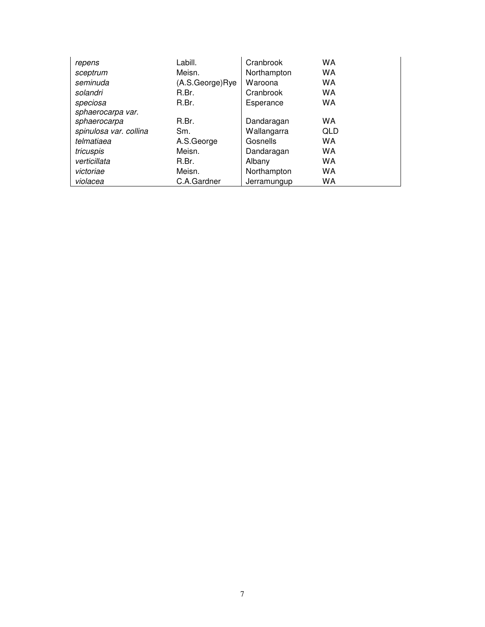| repens                 | Labill.         | Cranbrook   | <b>WA</b>  |
|------------------------|-----------------|-------------|------------|
| sceptrum               | Meisn.          | Northampton | WA         |
| seminuda               | (A.S.George)Rye | Waroona     | WA         |
| solandri               | R.Br.           | Cranbrook   | WA         |
| speciosa               | R.Br.           | Esperance   | WA         |
| sphaerocarpa var.      |                 |             |            |
| sphaerocarpa           | R.Br.           | Dandaragan  | WA         |
| spinulosa var. collina | Sm.             | Wallangarra | <b>QLD</b> |
| telmatiaea             | A.S.George      | Gosnells    | WA         |
| tricuspis              | Meisn.          | Dandaragan  | WA         |
| verticillata           | R.Br.           | Albany      | WA         |
| victoriae              | Meisn.          | Northampton | WA         |
| violacea               | C.A.Gardner     | Jerramungup | WA         |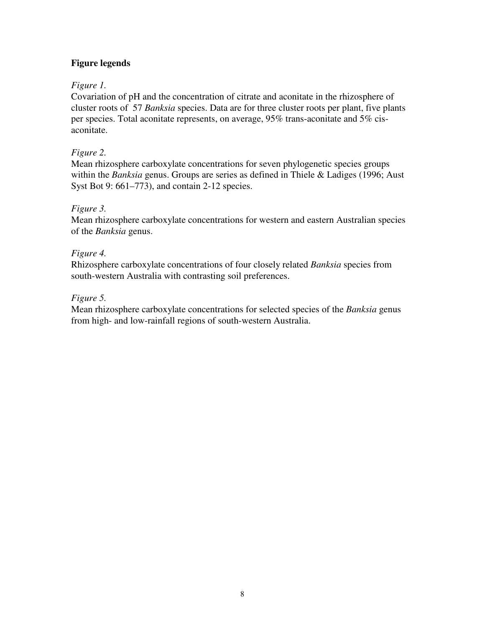# **Figure legends**

# *Figure 1.*

Covariation of pH and the concentration of citrate and aconitate in the rhizosphere of cluster roots of 57 *Banksia* species. Data are for three cluster roots per plant, five plants per species. Total aconitate represents, on average, 95% trans-aconitate and 5% cisaconitate.

# *Figure 2.*

Mean rhizosphere carboxylate concentrations for seven phylogenetic species groups within the *Banksia* genus. Groups are series as defined in Thiele & Ladiges (1996; Aust Syst Bot 9: 661–773), and contain 2-12 species.

# *Figure 3.*

Mean rhizosphere carboxylate concentrations for western and eastern Australian species of the *Banksia* genus.

# *Figure 4.*

Rhizosphere carboxylate concentrations of four closely related *Banksia* species from south-western Australia with contrasting soil preferences.

### *Figure 5.*

Mean rhizosphere carboxylate concentrations for selected species of the *Banksia* genus from high- and low-rainfall regions of south-western Australia.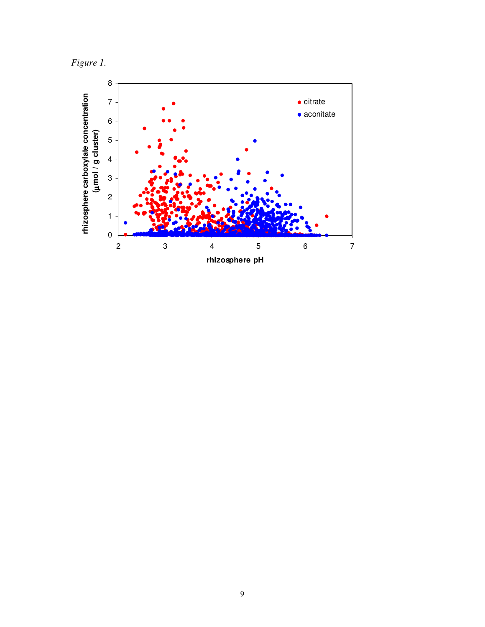*Figure 1.*

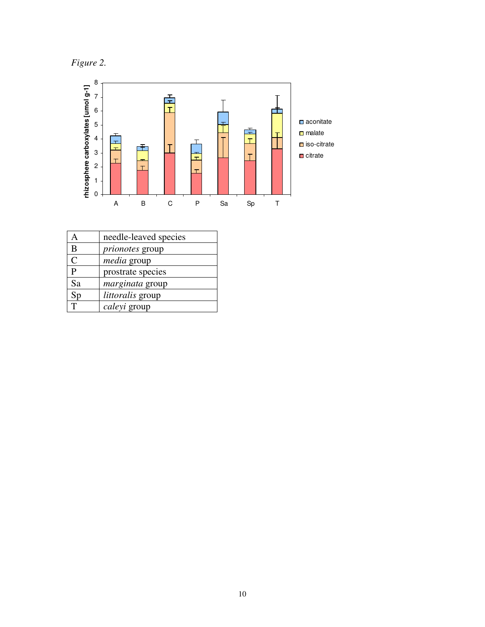*Figure 2.*



| А            | needle-leaved species   |
|--------------|-------------------------|
| B            | <i>prionotes</i> group  |
| $\mathsf{C}$ | <i>media</i> group      |
| P            | prostrate species       |
| Sa           | <i>marginata</i> group  |
| Sp           | <i>littoralis</i> group |
|              | caleyi group            |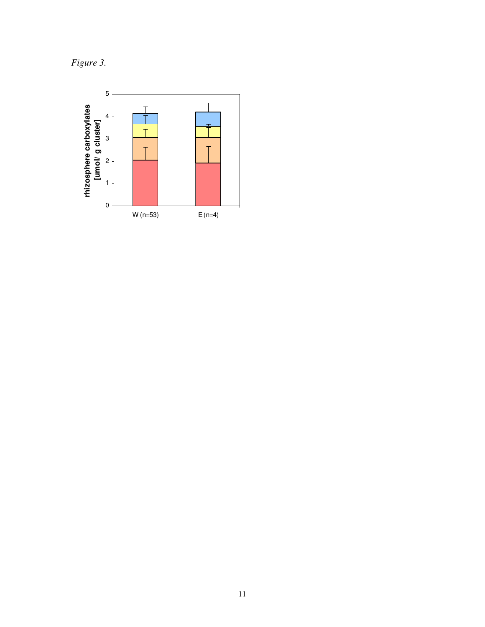Figure 3.

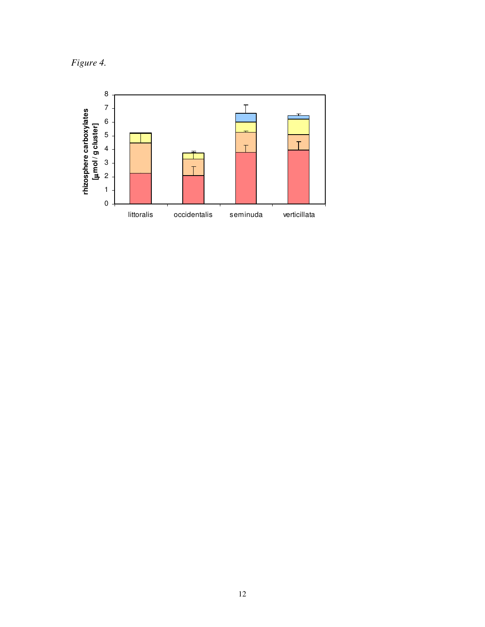*Figure 4.*